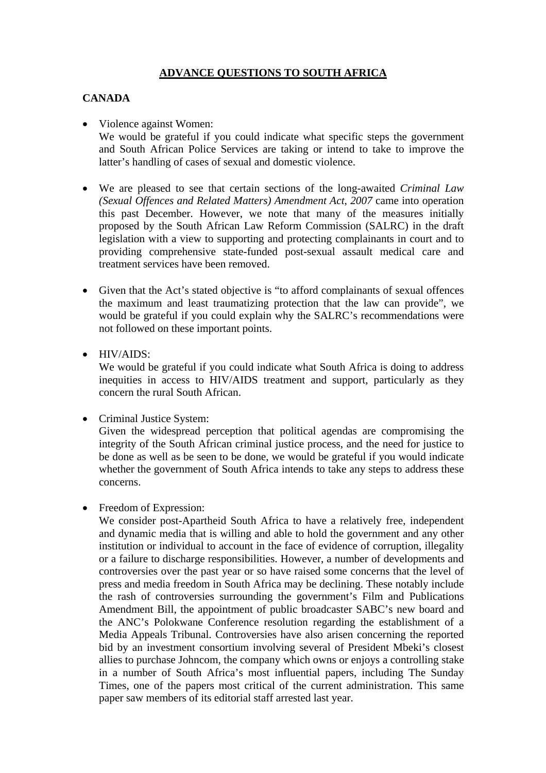# **ADVANCE QUESTIONS TO SOUTH AFRICA**

### **CANADA**

- Violence against Women: We would be grateful if you could indicate what specific steps the government and South African Police Services are taking or intend to take to improve the latter's handling of cases of sexual and domestic violence.
- We are pleased to see that certain sections of the long-awaited *Criminal Law (Sexual Offences and Related Matters) Amendment Act, 2007* came into operation this past December. However, we note that many of the measures initially proposed by the South African Law Reform Commission (SALRC) in the draft legislation with a view to supporting and protecting complainants in court and to providing comprehensive state-funded post-sexual assault medical care and treatment services have been removed.
- Given that the Act's stated objective is "to afford complainants of sexual offences" the maximum and least traumatizing protection that the law can provide", we would be grateful if you could explain why the SALRC's recommendations were not followed on these important points.
- HIV/AIDS:

We would be grateful if you could indicate what South Africa is doing to address inequities in access to HIV/AIDS treatment and support, particularly as they concern the rural South African.

• Criminal Justice System:

Given the widespread perception that political agendas are compromising the integrity of the South African criminal justice process, and the need for justice to be done as well as be seen to be done, we would be grateful if you would indicate whether the government of South Africa intends to take any steps to address these concerns.

• Freedom of Expression:

We consider post-Apartheid South Africa to have a relatively free, independent and dynamic media that is willing and able to hold the government and any other institution or individual to account in the face of evidence of corruption, illegality or a failure to discharge responsibilities. However, a number of developments and controversies over the past year or so have raised some concerns that the level of press and media freedom in South Africa may be declining. These notably include the rash of controversies surrounding the government's Film and Publications Amendment Bill, the appointment of public broadcaster SABC's new board and the ANC's Polokwane Conference resolution regarding the establishment of a Media Appeals Tribunal. Controversies have also arisen concerning the reported bid by an investment consortium involving several of President Mbeki's closest allies to purchase Johncom, the company which owns or enjoys a controlling stake in a number of South Africa's most influential papers, including The Sunday Times, one of the papers most critical of the current administration. This same paper saw members of its editorial staff arrested last year.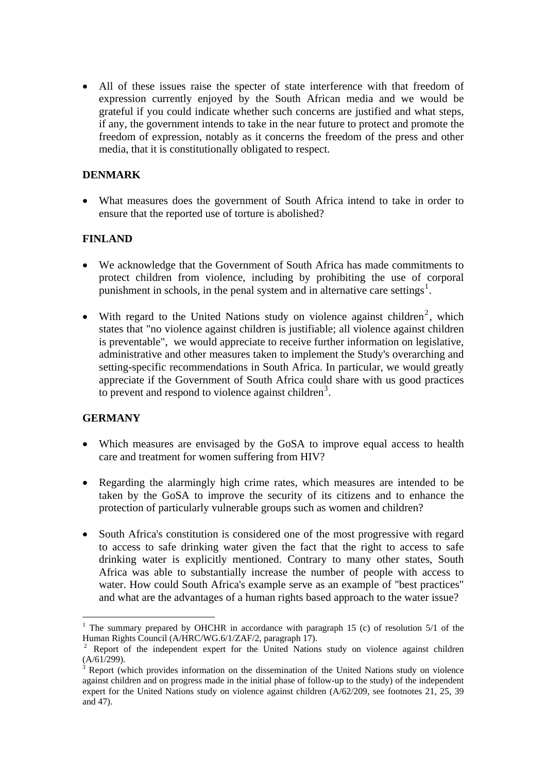• All of these issues raise the specter of state interference with that freedom of expression currently enjoyed by the South African media and we would be grateful if you could indicate whether such concerns are justified and what steps, if any, the government intends to take in the near future to protect and promote the freedom of expression, notably as it concerns the freedom of the press and other media, that it is constitutionally obligated to respect.

## **DENMARK**

• What measures does the government of South Africa intend to take in order to ensure that the reported use of torture is abolished?

# **FINLAND**

- We acknowledge that the Government of South Africa has made commitments to protect children from violence, including by prohibiting the use of corporal punishment in schools, in the penal system and in alternative care settings<sup>[1](#page-1-0)</sup>.
- With regard to the United Nations study on violence against children<sup>[2](#page-1-1)</sup>, which states that "no violence against children is justifiable; all violence against children is preventable", we would appreciate to receive further information on legislative, administrative and other measures taken to implement the Study's overarching and setting-specific recommendations in South Africa. In particular, we would greatly appreciate if the Government of South Africa could share with us good practices to prevent and respond to violence against children<sup>[3](#page-1-2)</sup>.

# **GERMANY**

 $\overline{a}$ 

- Which measures are envisaged by the GoSA to improve equal access to health care and treatment for women suffering from HIV?
- Regarding the alarmingly high crime rates, which measures are intended to be taken by the GoSA to improve the security of its citizens and to enhance the protection of particularly vulnerable groups such as women and children?
- South Africa's constitution is considered one of the most progressive with regard to access to safe drinking water given the fact that the right to access to safe drinking water is explicitly mentioned. Contrary to many other states, South Africa was able to substantially increase the number of people with access to water. How could South Africa's example serve as an example of "best practices" and what are the advantages of a human rights based approach to the water issue?

<span id="page-1-0"></span><sup>&</sup>lt;sup>1</sup> The summary prepared by OHCHR in accordance with paragraph 15 (c) of resolution  $5/1$  of the Human Rights Council (A/HRC/WG.6/1/ZAF/2, paragraph 17).

<span id="page-1-1"></span><sup>&</sup>lt;sup>2</sup> Report of the independent expert for the United Nations study on violence against children  $(A/61/299).$ <sup>3</sup> Penert (v)

<span id="page-1-2"></span>Report (which provides information on the dissemination of the United Nations study on violence against children and on progress made in the initial phase of follow-up to the study) of the independent expert for the United Nations study on violence against children (A/62/209, see footnotes 21, 25, 39 and 47).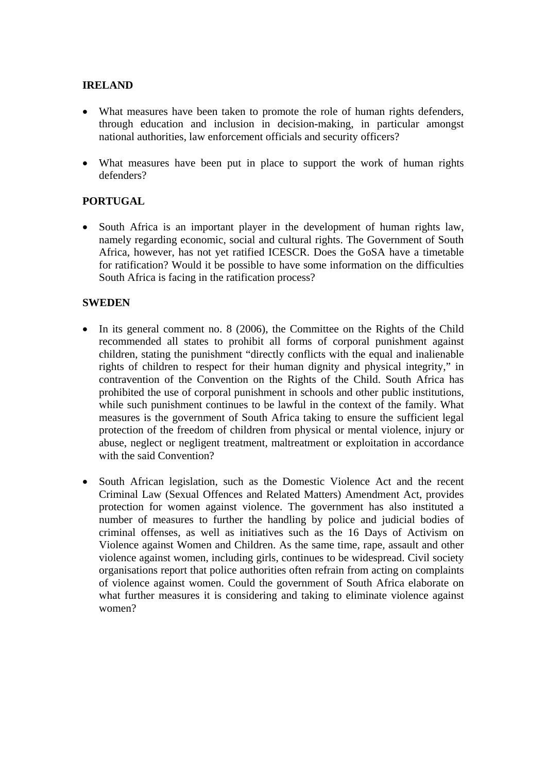### **IRELAND**

- What measures have been taken to promote the role of human rights defenders, through education and inclusion in decision-making, in particular amongst national authorities, law enforcement officials and security officers?
- What measures have been put in place to support the work of human rights defenders?

## **PORTUGAL**

• South Africa is an important player in the development of human rights law, namely regarding economic, social and cultural rights. The Government of South Africa, however, has not yet ratified ICESCR. Does the GoSA have a timetable for ratification? Would it be possible to have some information on the difficulties South Africa is facing in the ratification process?

## **SWEDEN**

- In its general comment no. 8 (2006), the Committee on the Rights of the Child recommended all states to prohibit all forms of corporal punishment against children, stating the punishment "directly conflicts with the equal and inalienable rights of children to respect for their human dignity and physical integrity," in contravention of the Convention on the Rights of the Child. South Africa has prohibited the use of corporal punishment in schools and other public institutions, while such punishment continues to be lawful in the context of the family. What measures is the government of South Africa taking to ensure the sufficient legal protection of the freedom of children from physical or mental violence, injury or abuse, neglect or negligent treatment, maltreatment or exploitation in accordance with the said Convention?
- South African legislation, such as the Domestic Violence Act and the recent Criminal Law (Sexual Offences and Related Matters) Amendment Act, provides protection for women against violence. The government has also instituted a number of measures to further the handling by police and judicial bodies of criminal offenses, as well as initiatives such as the 16 Days of Activism on Violence against Women and Children. As the same time, rape, assault and other violence against women, including girls, continues to be widespread. Civil society organisations report that police authorities often refrain from acting on complaints of violence against women. Could the government of South Africa elaborate on what further measures it is considering and taking to eliminate violence against women?